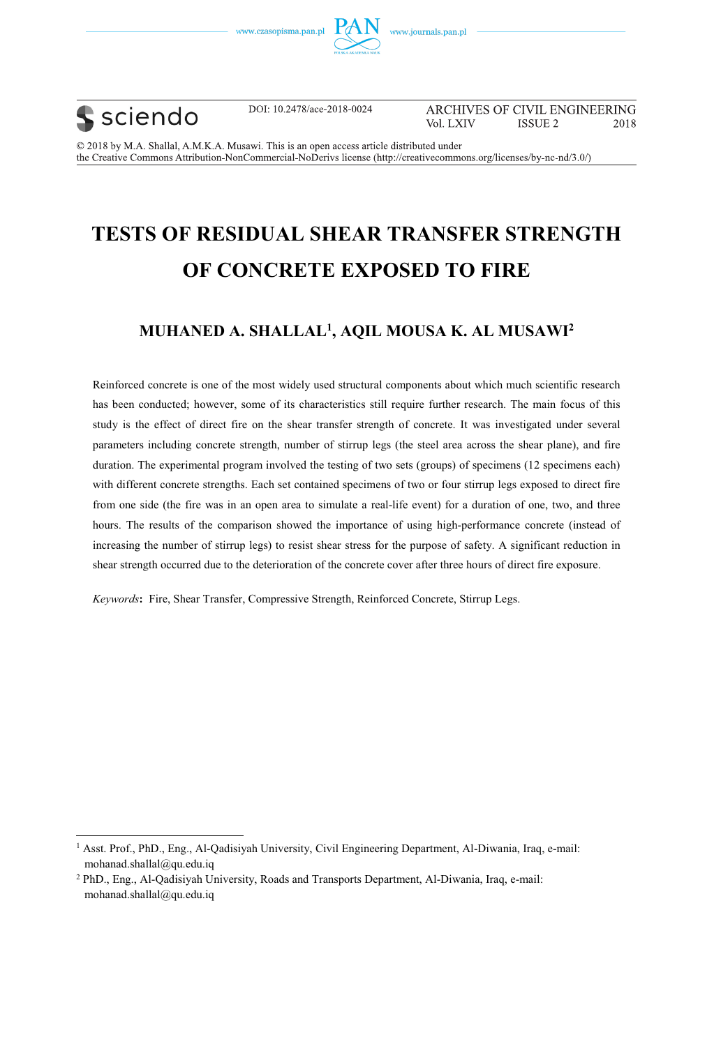





----------------------------------------------------------

DOI: 10.2478/ace-2018-0024

ARCHIVES OF CIVIL ENGINEERING Vol. LXIV **ISSUE 2** 2018

© 2018 by M.A. Shallal, A.M.K.A. Musawi. This is an open access article distributed under the Creative Commons Attribution-NonCommercial-NoDerivs license (http://creativecommons.org/licenses/by-nc-nd/3.0/)

# **TESTS OF RESIDUAL SHEAR TRANSFER STRENGTH OF CONCRETE EXPOSED TO FIRE**

### **MUHANED A. SHALLAL1 , AQIL MOUSA K. AL MUSAWI2**

Reinforced concrete is one of the most widely used structural components about which much scientific research has been conducted; however, some of its characteristics still require further research. The main focus of this study is the effect of direct fire on the shear transfer strength of concrete. It was investigated under several parameters including concrete strength, number of stirrup legs (the steel area across the shear plane), and fire duration. The experimental program involved the testing of two sets (groups) of specimens (12 specimens each) with different concrete strengths. Each set contained specimens of two or four stirrup legs exposed to direct fire from one side (the fire was in an open area to simulate a real-life event) for a duration of one, two, and three hours. The results of the comparison showed the importance of using high-performance concrete (instead of increasing the number of stirrup legs) to resist shear stress for the purpose of safety. A significant reduction in shear strength occurred due to the deterioration of the concrete cover after three hours of direct fire exposure.

*Keywords***:** Fire, Shear Transfer, Compressive Strength, Reinforced Concrete, Stirrup Legs.

<sup>&</sup>lt;sup>1</sup> Asst. Prof., PhD., Eng., Al-Qadisiyah University, Civil Engineering Department, Al-Diwania, Iraq, e-mail: mohanad.shallal@qu.edu.iq

<sup>2</sup> PhD., Eng., Al-Qadisiyah University, Roads and Transports Department, Al-Diwania, Iraq, e-mail: mohanad.shallal@qu.edu.iq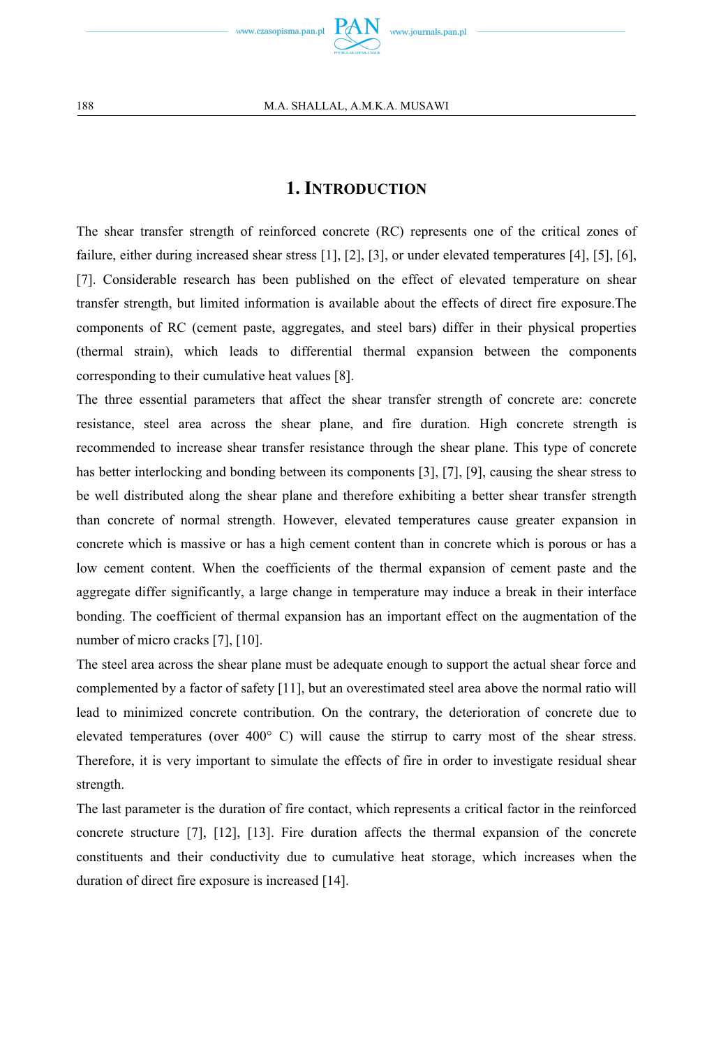

### **1. INTRODUCTION**

The shear transfer strength of reinforced concrete (RC) represents one of the critical zones of failure, either during increased shear stress [1], [2], [3], or under elevated temperatures [4], [5], [6], [7]. Considerable research has been published on the effect of elevated temperature on shear transfer strength, but limited information is available about the effects of direct fire exposure.The components of RC (cement paste, aggregates, and steel bars) differ in their physical properties (thermal strain), which leads to differential thermal expansion between the components corresponding to their cumulative heat values [8].

The three essential parameters that affect the shear transfer strength of concrete are: concrete resistance, steel area across the shear plane, and fire duration. High concrete strength is recommended to increase shear transfer resistance through the shear plane. This type of concrete has better interlocking and bonding between its components [3], [7], [9], causing the shear stress to be well distributed along the shear plane and therefore exhibiting a better shear transfer strength than concrete of normal strength. However, elevated temperatures cause greater expansion in concrete which is massive or has a high cement content than in concrete which is porous or has a low cement content. When the coefficients of the thermal expansion of cement paste and the aggregate differ significantly, a large change in temperature may induce a break in their interface bonding. The coefficient of thermal expansion has an important effect on the augmentation of the number of micro cracks [7], [10].

The steel area across the shear plane must be adequate enough to support the actual shear force and complemented by a factor of safety [11], but an overestimated steel area above the normal ratio will lead to minimized concrete contribution. On the contrary, the deterioration of concrete due to elevated temperatures (over 400° C) will cause the stirrup to carry most of the shear stress. Therefore, it is very important to simulate the effects of fire in order to investigate residual shear strength.

The last parameter is the duration of fire contact, which represents a critical factor in the reinforced concrete structure [7], [12], [13]. Fire duration affects the thermal expansion of the concrete constituents and their conductivity due to cumulative heat storage, which increases when the duration of direct fire exposure is increased [14].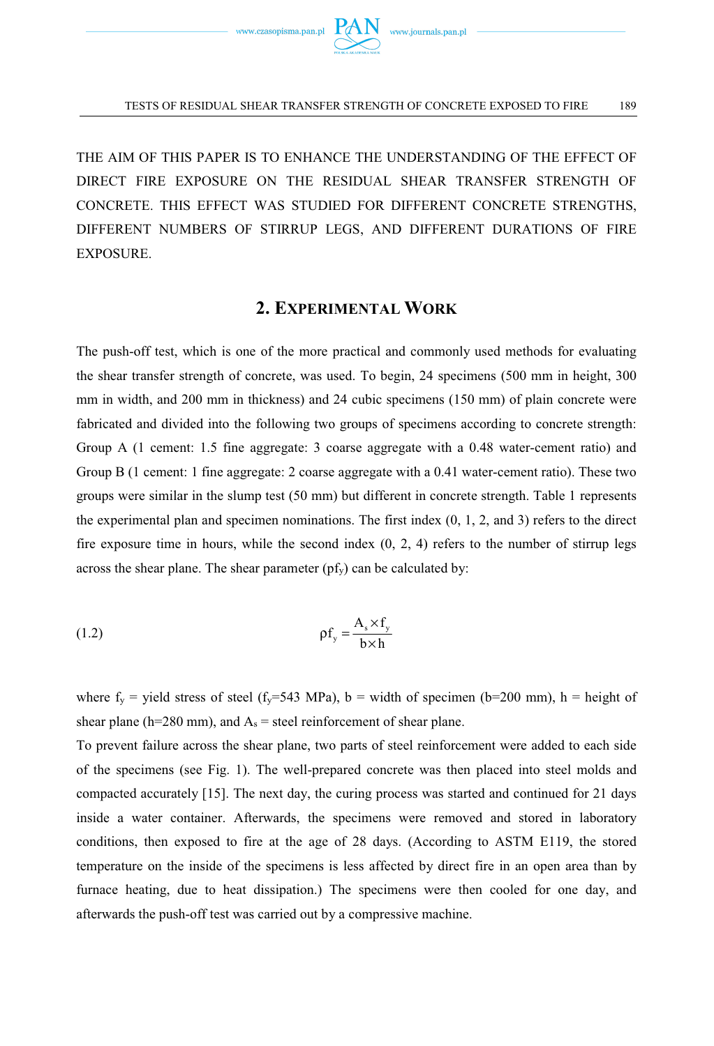

THE AIM OF THIS PAPER IS TO ENHANCE THE UNDERSTANDING OF THE EFFECT OF DIRECT FIRE EXPOSURE ON THE RESIDUAL SHEAR TRANSFER STRENGTH OF CONCRETE. THIS EFFECT WAS STUDIED FOR DIFFERENT CONCRETE STRENGTHS, DIFFERENT NUMBERS OF STIRRUP LEGS, AND DIFFERENT DURATIONS OF FIRE EXPOSURE.

### **2. EXPERIMENTAL WORK**

The push-off test, which is one of the more practical and commonly used methods for evaluating the shear transfer strength of concrete, was used. To begin, 24 specimens (500 mm in height, 300 mm in width, and 200 mm in thickness) and 24 cubic specimens (150 mm) of plain concrete were fabricated and divided into the following two groups of specimens according to concrete strength: Group A (1 cement: 1.5 fine aggregate: 3 coarse aggregate with a 0.48 water-cement ratio) and Group B (1 cement: 1 fine aggregate: 2 coarse aggregate with a 0.41 water-cement ratio). These two groups were similar in the slump test (50 mm) but different in concrete strength. Table 1 represents the experimental plan and specimen nominations. The first index (0, 1, 2, and 3) refers to the direct fire exposure time in hours, while the second index  $(0, 2, 4)$  refers to the number of stirrup legs across the shear plane. The shear parameter  $(pf_y)$  can be calculated by:

$$
\rho f_y = \frac{A_s \times f_y}{b \times h}
$$

where  $f_y$  = yield stress of steel ( $f_y$ =543 MPa), b = width of specimen (b=200 mm), h = height of shear plane (h=280 mm), and  $A_s$  = steel reinforcement of shear plane.

To prevent failure across the shear plane, two parts of steel reinforcement were added to each side of the specimens (see Fig. 1). The well-prepared concrete was then placed into steel molds and compacted accurately [15]. The next day, the curing process was started and continued for 21 days inside a water container. Afterwards, the specimens were removed and stored in laboratory conditions, then exposed to fire at the age of 28 days. (According to ASTM E119, the stored temperature on the inside of the specimens is less affected by direct fire in an open area than by furnace heating, due to heat dissipation.) The specimens were then cooled for one day, and afterwards the push-off test was carried out by a compressive machine.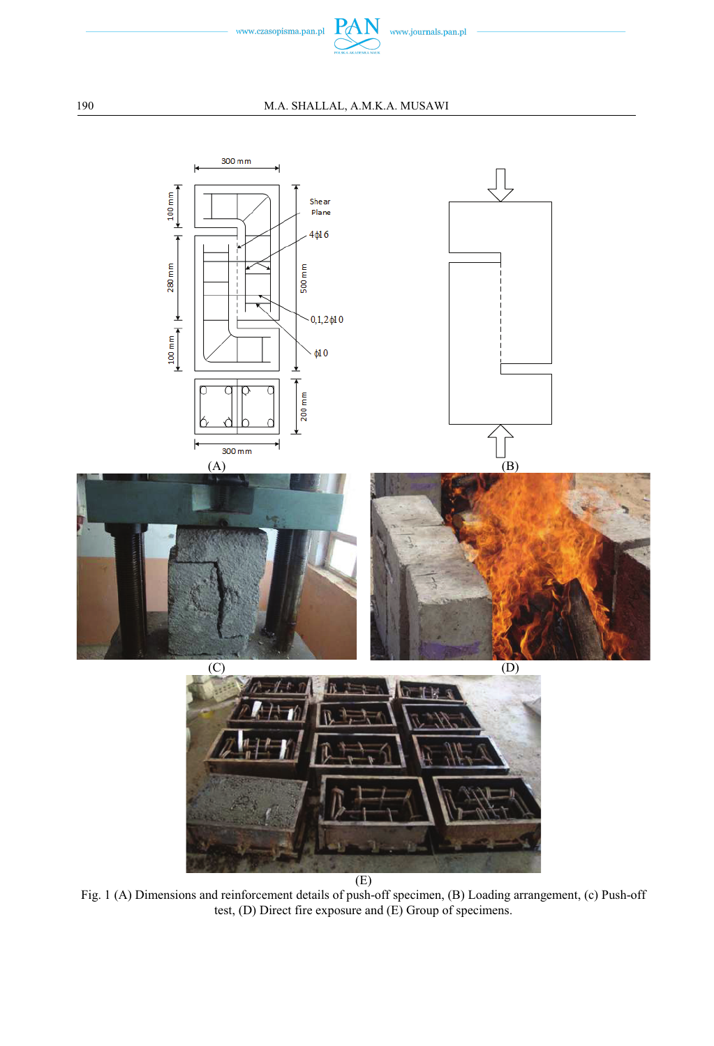



 $(E)$ 

Fig. 1 (A) Dimensions and reinforcement details of push-off specimen, (B) Loading arrangement, (c) Push-off test, (D) Direct fire exposure and (E) Group of specimens.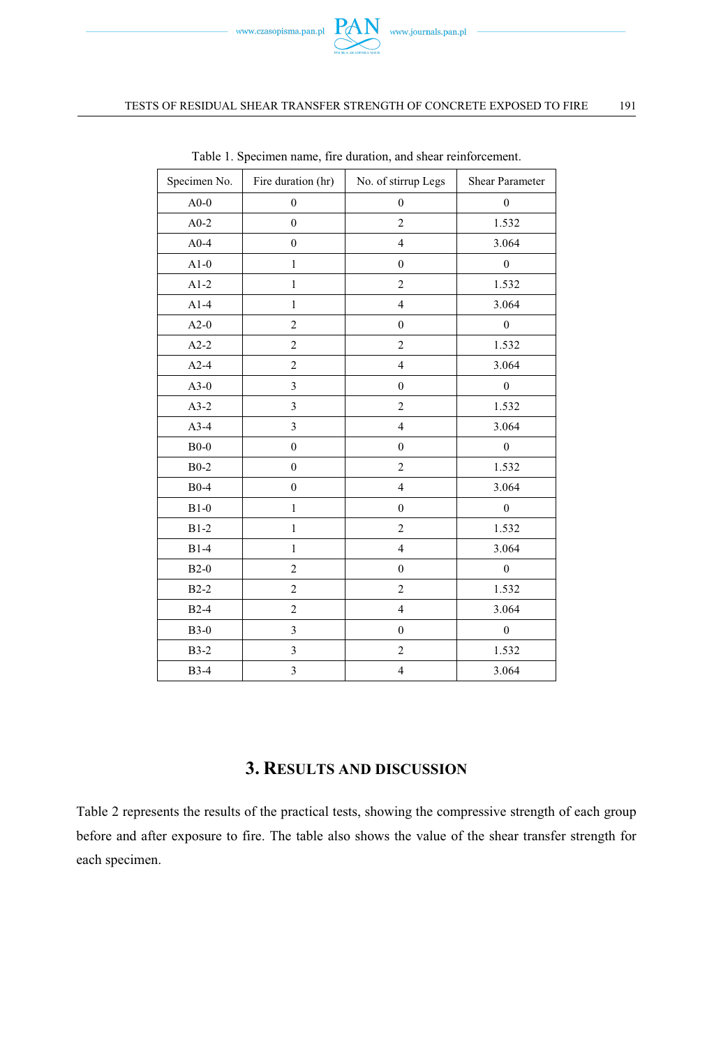

#### TESTS OF RESIDUAL SHEAR TRANSFER STRENGTH OF CONCRETE EXPOSED TO FIRE 191

| Specimen No. | Fire duration (hr) | No. of stirrup Legs              | Shear Parameter  |  |
|--------------|--------------------|----------------------------------|------------------|--|
| $A0-0$       | $\boldsymbol{0}$   | $\boldsymbol{0}$                 | $\boldsymbol{0}$ |  |
| $A0-2$       | $\boldsymbol{0}$   | $\overline{c}$                   | 1.532            |  |
| $A0-4$       | $\boldsymbol{0}$   | $\overline{\mathbf{4}}$          | 3.064            |  |
| $A1-0$       | $\mathbf{1}$       | $\boldsymbol{0}$                 | $\boldsymbol{0}$ |  |
| $A1-2$       | $\mathbf{1}$       | $\overline{2}$                   | 1.532            |  |
| $A1-4$       | $\mathbf{1}$       | $\overline{4}$                   | 3.064            |  |
| $A2-0$       | $\overline{c}$     | $\boldsymbol{0}$                 | $\mathbf{0}$     |  |
| $A2-2$       | $\boldsymbol{2}$   | $\overline{c}$                   | 1.532            |  |
| $A2-4$       | $\overline{c}$     | $\overline{4}$                   | 3.064            |  |
| $A3-0$       | 3                  | $\boldsymbol{0}$                 | $\boldsymbol{0}$ |  |
| $A3-2$       | 3                  | $\overline{c}$                   | 1.532            |  |
| $A3-4$       | 3                  | $\overline{4}$                   | 3.064            |  |
| $B0-0$       | $\boldsymbol{0}$   | $\boldsymbol{0}$                 | $\boldsymbol{0}$ |  |
| $B0-2$       | $\boldsymbol{0}$   | $\overline{c}$                   | 1.532            |  |
| $B0-4$       | $\boldsymbol{0}$   | $\overline{4}$                   | 3.064            |  |
| $B1-0$       | $\mathbf{1}$       | $\boldsymbol{0}$                 | $\boldsymbol{0}$ |  |
| $B1-2$       | $\mathbf{1}$       | $\overline{c}$                   | 1.532            |  |
| $B1-4$       | $\mathbf{1}$       | $\overline{4}$                   | 3.064            |  |
| $B2-0$       | 2                  | $\boldsymbol{0}$                 | $\boldsymbol{0}$ |  |
| $B2-2$       | $\overline{c}$     | $\overline{c}$                   | 1.532            |  |
| $B2-4$       | $\boldsymbol{2}$   | $\overline{4}$                   | 3.064            |  |
| $B3-0$       | 3                  | $\mathbf{0}$<br>$\boldsymbol{0}$ |                  |  |
| $B3-2$       | $\mathfrak{Z}$     | $\boldsymbol{2}$                 | 1.532            |  |
| <b>B</b> 3-4 | 3                  | $\overline{\mathbf{4}}$          | 3.064            |  |

Table 1. Specimen name, fire duration, and shear reinforcement.

### **3. RESULTS AND DISCUSSION**

Table 2 represents the results of the practical tests, showing the compressive strength of each group before and after exposure to fire. The table also shows the value of the shear transfer strength for each specimen.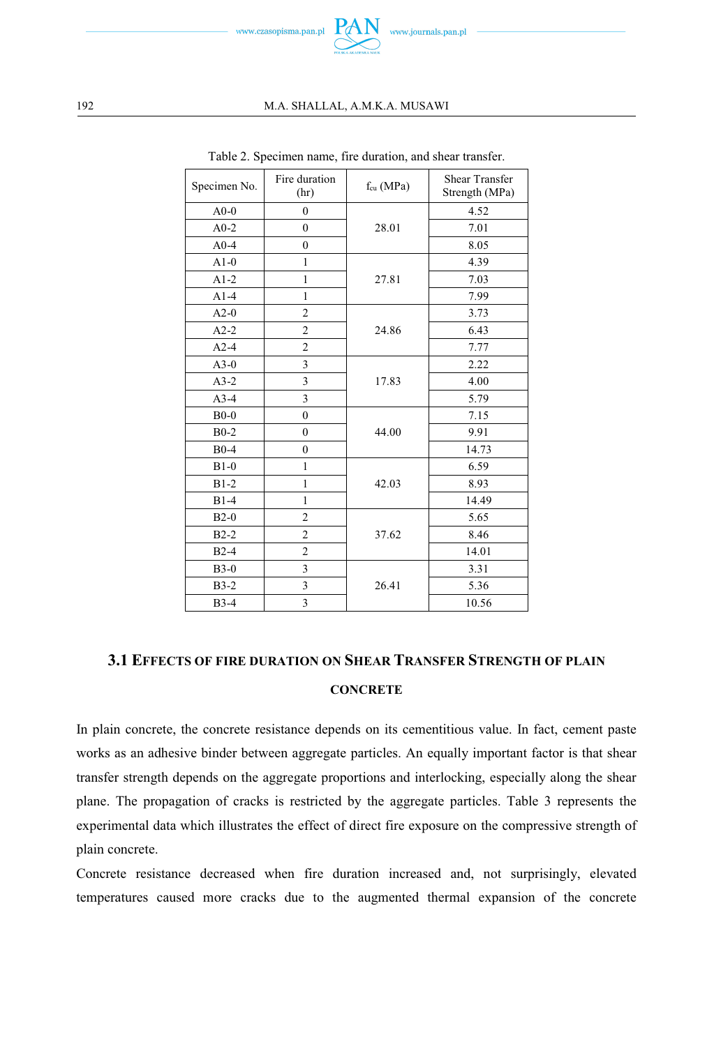

#### 192 M.A. SHALLAL, A.M.K.A. MUSAWI

| Specimen No. | Fire duration<br>(hr) | $f_{cu}$ (MPa) | <b>Shear Transfer</b><br>Strength (MPa) |  |
|--------------|-----------------------|----------------|-----------------------------------------|--|
| $A0-0$       | $\theta$              |                | 4.52                                    |  |
| $A0-2$       | $\theta$              | 28.01          | 7.01                                    |  |
| $A0-4$       | $\theta$              |                | 8.05                                    |  |
| $A1-0$       | 1                     | 27.81          | 4.39                                    |  |
| $A1-2$       | $\mathbf{1}$          |                | 7.03                                    |  |
| $A1-4$       | 1                     |                | 7.99                                    |  |
| $A2-0$       | $\overline{c}$        | 24.86          | 3.73                                    |  |
| $A2-2$       | $\overline{2}$        |                | 6.43                                    |  |
| $A2-4$       | $\overline{2}$        |                | 7.77                                    |  |
| $A3-0$       | 3                     | 17.83          | 2.22                                    |  |
| $A3-2$       | 3                     |                | 4.00                                    |  |
| $A3-4$       | 3                     |                | 5.79                                    |  |
| $B0-0$       | $\theta$              |                | 7.15                                    |  |
| $B0-2$       | $\theta$              | 44.00          | 9.91                                    |  |
| $B0-4$       | $\mathbf{0}$          |                | 14.73                                   |  |
| $B1-0$       | 1                     |                | 6.59                                    |  |
| $B1-2$       | $\mathbf{1}$          | 42.03          | 8.93                                    |  |
| $B1-4$       | 1                     |                | 14.49                                   |  |
| $B2-0$       | $\overline{2}$        |                | 5.65                                    |  |
| $B2-2$       | $\overline{2}$        | 37.62          | 8.46                                    |  |
| $B2-4$       | $\overline{c}$        |                | 14.01                                   |  |
| $B3-0$       | 3                     |                | 3.31                                    |  |
| $B3-2$       | 3                     | 26.41          | 5.36                                    |  |
| <b>B</b> 3-4 | 3                     |                | 10.56                                   |  |

Table 2. Specimen name, fire duration, and shear transfer.

## **3.1 EFFECTS OF FIRE DURATION ON SHEAR TRANSFER STRENGTH OF PLAIN CONCRETE**

In plain concrete, the concrete resistance depends on its cementitious value. In fact, cement paste works as an adhesive binder between aggregate particles. An equally important factor is that shear transfer strength depends on the aggregate proportions and interlocking, especially along the shear plane. The propagation of cracks is restricted by the aggregate particles. Table 3 represents the experimental data which illustrates the effect of direct fire exposure on the compressive strength of plain concrete.

Concrete resistance decreased when fire duration increased and, not surprisingly, elevated temperatures caused more cracks due to the augmented thermal expansion of the concrete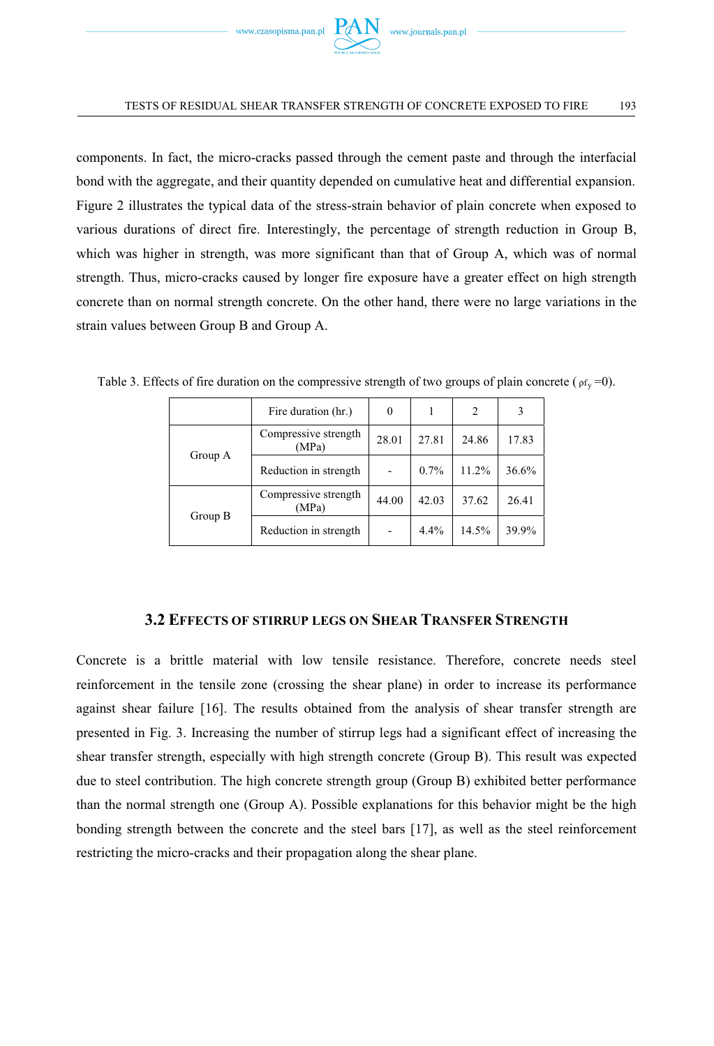

#### TESTS OF RESIDUAL SHEAR TRANSFER STRENGTH OF CONCRETE EXPOSED TO FIRE 193

components. In fact, the micro-cracks passed through the cement paste and through the interfacial bond with the aggregate, and their quantity depended on cumulative heat and differential expansion. Figure 2 illustrates the typical data of the stress-strain behavior of plain concrete when exposed to various durations of direct fire. Interestingly, the percentage of strength reduction in Group B, which was higher in strength, was more significant than that of Group A, which was of normal strength. Thus, micro-cracks caused by longer fire exposure have a greater effect on high strength concrete than on normal strength concrete. On the other hand, there were no large variations in the strain values between Group B and Group A.

|         | Fire duration (hr.)           | $\Omega$ |       | 2     |       |
|---------|-------------------------------|----------|-------|-------|-------|
| Group A | Compressive strength<br>(MPa) | 28.01    | 27.81 | 24.86 | 17.83 |
|         | Reduction in strength         |          | 0.7%  | 11.2% | 36.6% |
| Group B | Compressive strength<br>(MPa) | 44.00    | 42.03 | 37.62 | 26.41 |
|         | Reduction in strength         |          | 4.4%  | 14.5% | 39.9% |

Table 3. Effects of fire duration on the compressive strength of two groups of plain concrete ( $\rho f_v = 0$ ).

### **3.2 EFFECTS OF STIRRUP LEGS ON SHEAR TRANSFER STRENGTH**

Concrete is a brittle material with low tensile resistance. Therefore, concrete needs steel reinforcement in the tensile zone (crossing the shear plane) in order to increase its performance against shear failure [16]. The results obtained from the analysis of shear transfer strength are presented in Fig. 3. Increasing the number of stirrup legs had a significant effect of increasing the shear transfer strength, especially with high strength concrete (Group B). This result was expected due to steel contribution. The high concrete strength group (Group B) exhibited better performance than the normal strength one (Group A). Possible explanations for this behavior might be the high bonding strength between the concrete and the steel bars [17], as well as the steel reinforcement restricting the micro-cracks and their propagation along the shear plane.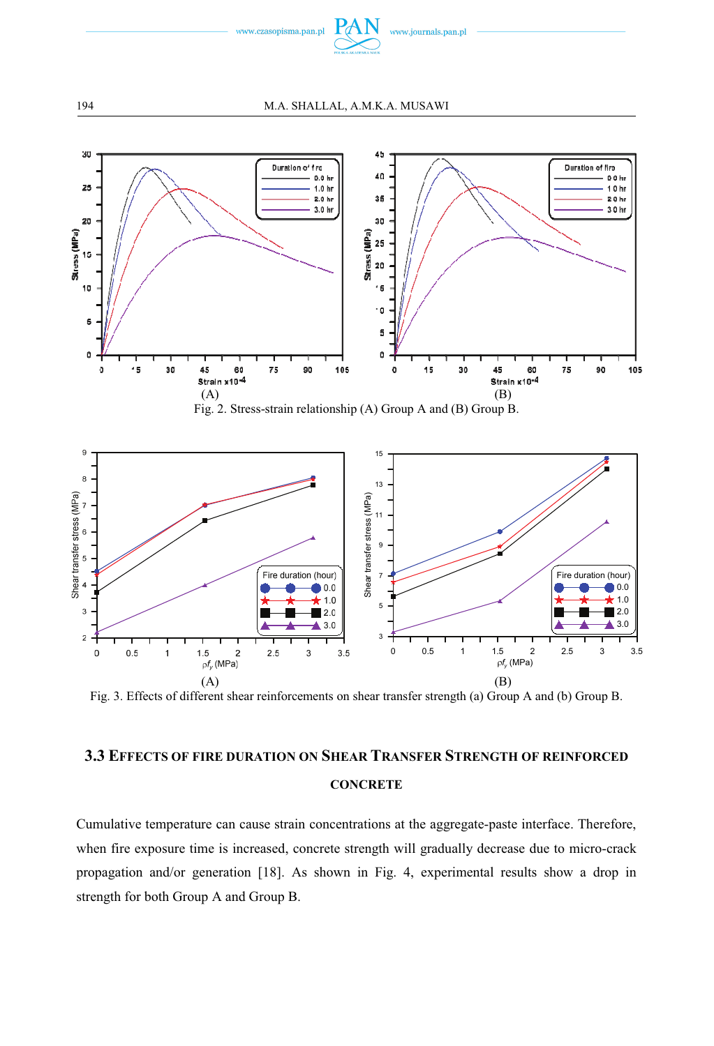

194 M.A. SHALLAL, A.M.K.A. MUSAWI



Fig. 3. Effects of different shear reinforcements on shear transfer strength (a) Group A and (b) Group B.

# **3.3 EFFECTS OF FIRE DURATION ON SHEAR TRANSFER STRENGTH OF REINFORCED CONCRETE**

Cumulative temperature can cause strain concentrations at the aggregate-paste interface. Therefore, when fire exposure time is increased, concrete strength will gradually decrease due to micro-crack propagation and/or generation [18]. As shown in Fig. 4, experimental results show a drop in strength for both Group A and Group B.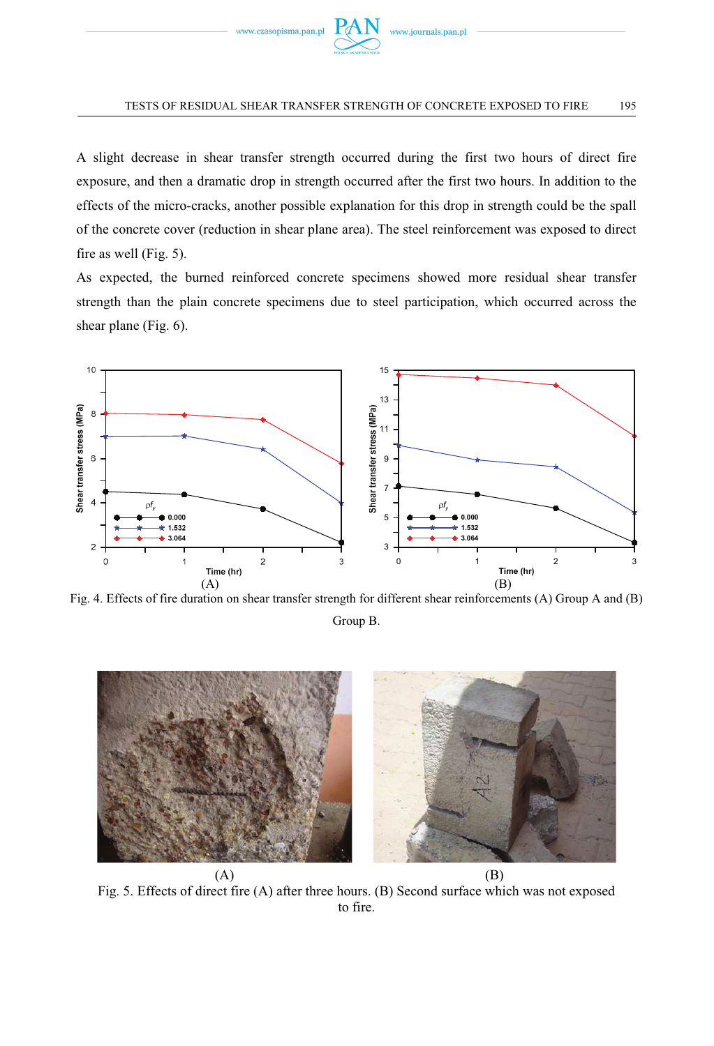

#### TESTS OF RESIDUAL SHEAR TRANSFER STRENGTH OF CONCRETE EXPOSED TO FIRE 195

A slight decrease in shear transfer strength occurred during the first two hours of direct fire exposure, and then a dramatic drop in strength occurred after the first two hours. In addition to the effects of the micro-cracks, another possible explanation for this drop in strength could be the spall of the concrete cover (reduction in shear plane area). The steel reinforcement was exposed to direct fire as well (Fig. 5).

As expected, the burned reinforced concrete specimens showed more residual shear transfer strength than the plain concrete specimens due to steel participation, which occurred across the shear plane (Fig. 6).



Fig. 4. Effects of fire duration on shear transfer strength for different shear reinforcements (A) Group A and (B)

Group B.



Fig. 5. Effects of direct fire (A) after three hours. (B) Second surface which was not exposed to fire.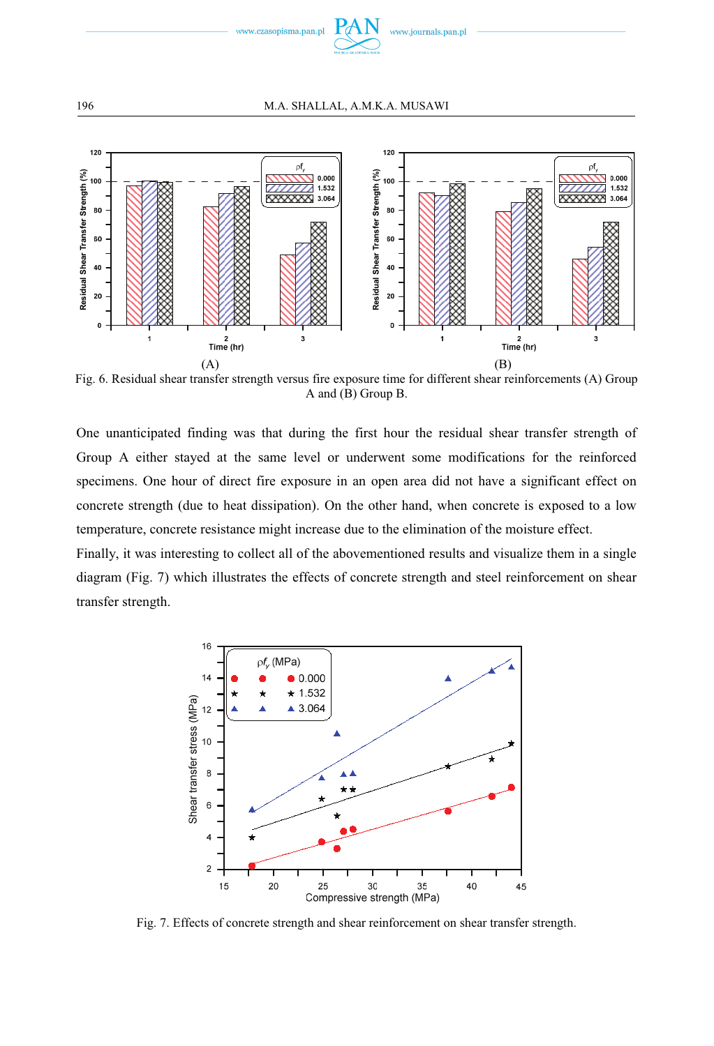



Fig. 6. Residual shear transfer strength versus fire exposure time for different shear reinforcements (A) Group A and (B) Group B.

One unanticipated finding was that during the first hour the residual shear transfer strength of Group A either stayed at the same level or underwent some modifications for the reinforced specimens. One hour of direct fire exposure in an open area did not have a significant effect on concrete strength (due to heat dissipation). On the other hand, when concrete is exposed to a low temperature, concrete resistance might increase due to the elimination of the moisture effect.

Finally, it was interesting to collect all of the abovementioned results and visualize them in a single diagram (Fig. 7) which illustrates the effects of concrete strength and steel reinforcement on shear transfer strength.



Fig. 7. Effects of concrete strength and shear reinforcement on shear transfer strength.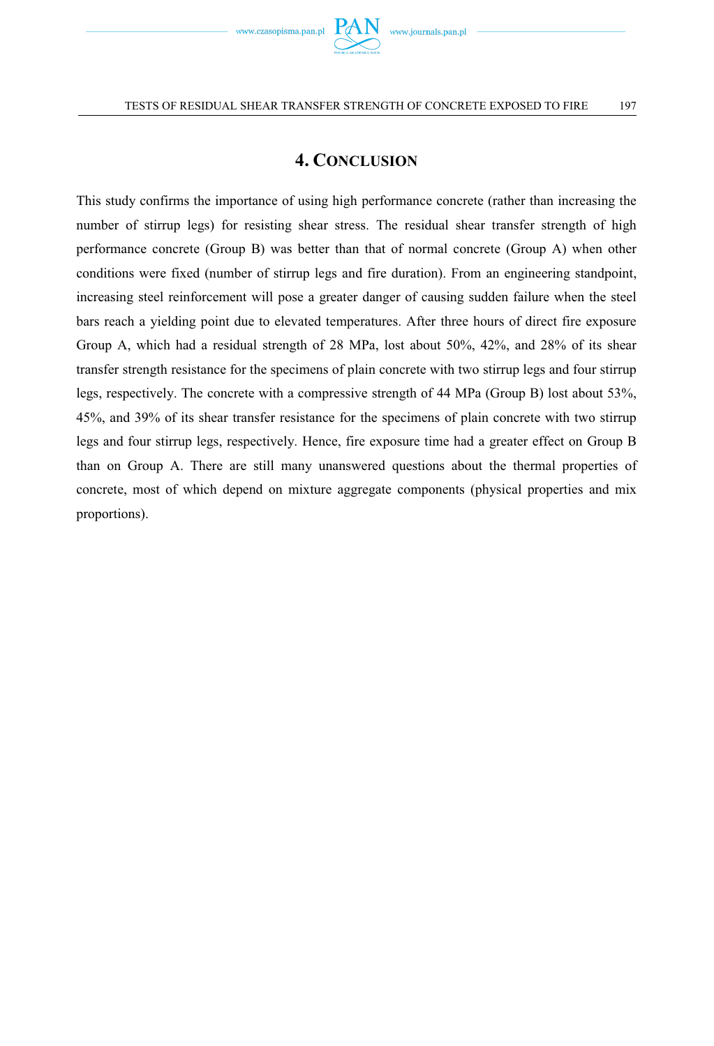

# **4. CONCLUSION**

This study confirms the importance of using high performance concrete (rather than increasing the number of stirrup legs) for resisting shear stress. The residual shear transfer strength of high performance concrete (Group B) was better than that of normal concrete (Group A) when other conditions were fixed (number of stirrup legs and fire duration). From an engineering standpoint, increasing steel reinforcement will pose a greater danger of causing sudden failure when the steel bars reach a yielding point due to elevated temperatures. After three hours of direct fire exposure Group A, which had a residual strength of 28 MPa, lost about 50%, 42%, and 28% of its shear transfer strength resistance for the specimens of plain concrete with two stirrup legs and four stirrup legs, respectively. The concrete with a compressive strength of 44 MPa (Group B) lost about 53%, 45%, and 39% of its shear transfer resistance for the specimens of plain concrete with two stirrup legs and four stirrup legs, respectively. Hence, fire exposure time had a greater effect on Group B than on Group A. There are still many unanswered questions about the thermal properties of concrete, most of which depend on mixture aggregate components (physical properties and mix proportions).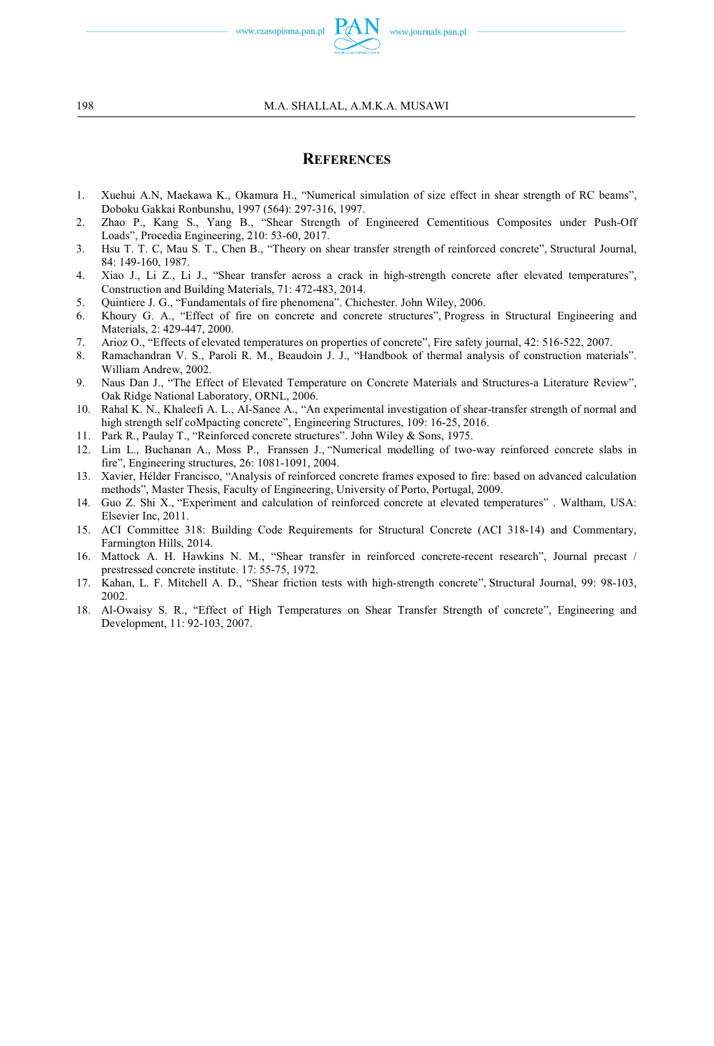www.czasopisma.pan.pl

### **REFERENCES**

- 1. Xuehui A.N, Maekawa K., Okamura H., "Numerical simulation of size effect in shear strength of RC beams", Doboku Gakkai Ronbunshu, 1997 (564): 297-316, 1997.
- 2. Zhao P., Kang S., Yang B., "Shear Strength of Engineered Cementitious Composites under Push-Off Loads", Procedia Engineering, 210: 53-60, 2017.
- 3. Hsu T. T. C, Mau S. T., Chen B., "Theory on shear transfer strength of reinforced concrete", Structural Journal, 84: 149-160, 1987.
- 4. Xiao J., Li Z., Li J., "Shear transfer across a crack in high-strength concrete after elevated temperatures", Construction and Building Materials, 71: 472-483, 2014.
- 5. Quintiere J. G., "Fundamentals of fire phenomena". Chichester. John Wiley, 2006.
- 6. Khoury G. A., "Effect of fire on concrete and concrete structures", Progress in Structural Engineering and Materials, 2: 429-447, 2000.
- 7. Arioz O., "Effects of elevated temperatures on properties of concrete", Fire safety journal, 42: 516-522, 2007.
- 8. Ramachandran V. S., Paroli R. M., Beaudoin J. J., "Handbook of thermal analysis of construction materials". William Andrew, 2002.
- 9. Naus Dan J., "The Effect of Elevated Temperature on Concrete Materials and Structures-a Literature Review", Oak Ridge National Laboratory, ORNL, 2006.
- 10. Rahal K. N., Khaleefi A. L., Al-Sanee A., "An experimental investigation of shear-transfer strength of normal and high strength self coMpacting concrete", Engineering Structures, 109: 16-25, 2016.
- 11. Park R., Paulay T., "Reinforced concrete structures". John Wiley & Sons, 1975.
- 12. Lim L., Buchanan A., Moss P., Franssen J., "Numerical modelling of two-way reinforced concrete slabs in fire", Engineering structures, 26: 1081-1091, 2004.
- 13. Xavier, Hélder Francisco, "Analysis of reinforced concrete frames exposed to fire: based on advanced calculation methods", Master Thesis, Faculty of Engineering, University of Porto, Portugal, 2009.
- 14. Guo Z. Shi X., "Experiment and calculation of reinforced concrete at elevated temperatures" . Waltham, USA: Elsevier Inc, 2011.
- 15. ACI Committee 318: Building Code Requirements for Structural Concrete (ACI 318-14) and Commentary, Farmington Hills, 2014.
- 16. Mattock A. H. Hawkins N. M., "Shear transfer in reinforced concrete-recent research", Journal precast / prestressed concrete institute. 17: 55-75, 1972.
- 17. Kahan, L. F. Mitchell A. D., "Shear friction tests with high-strength concrete", Structural Journal, 99: 98-103, 2002.
- 18. Al-Owaisy S. R., "Effect of High Temperatures on Shear Transfer Strength of concrete", Engineering and Development, 11: 92-103, 2007.